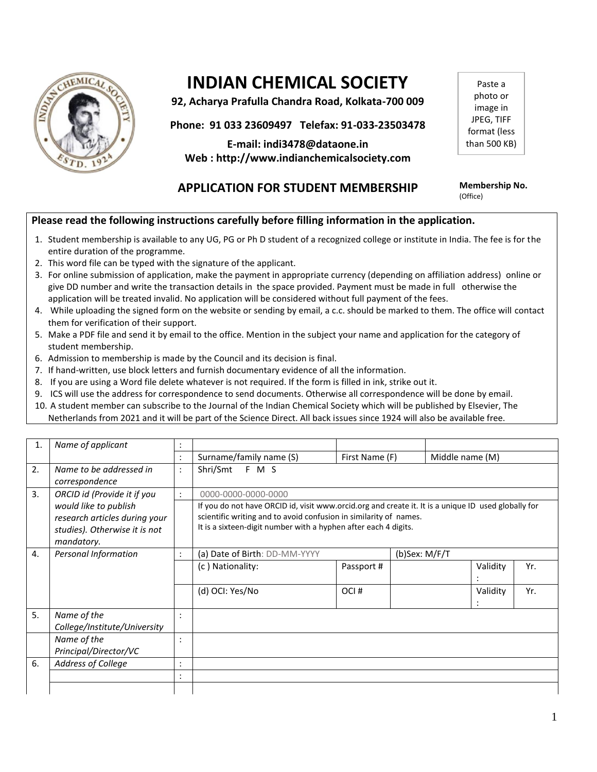

# **INDIAN CHEMICAL SOCIETY**

**92, Acharya Prafulla Chandra Road, Kolkata-700 009**

**Phone: 91 033 23609497 Telefax: 91-033-23503478**

**E-mail: indi3478@dataone.in Web : http://www.indianchemicalsociety.com**

Paste a photo or image in JPEG, TIFF format (less than 500 KB)

# **APPLICATION FOR STUDENT MEMBERSHIP Membership No.**

(Office)

## **Please read the following instructions carefully before filling information in the application.**

- 1. Student membership is available to any UG, PG or Ph D student of a recognized college or institute in India. The fee is for the entire duration of the programme.
- 2. This word file can be typed with the signature of the applicant.
- 3. For online submission of application, make the payment in appropriate currency (depending on affiliation address) online or give DD number and write the transaction details in the space provided. Payment must be made in full otherwise the application will be treated invalid. No application will be considered without full payment of the fees.
- 4. While uploading the signed form on the website or sending by email, a c.c. should be marked to them. The office will contact them for verification of their support.
- 5. Make a PDF file and send it by email to the office. Mention in the subject your name and application for the category of student membership.
- 6. Admission to membership is made by the Council and its decision is final.
- 7. If hand-written, use block letters and furnish documentary evidence of all the information.
- 8. If you are using a Word file delete whatever is not required. If the form is filled in ink, strike out it.
- 9. ICS will use the address for correspondence to send documents. Otherwise all correspondence will be done by email.
- 10. A student member can subscribe to the Journal of the Indian Chemical Society which will be published by Elsevier, The Netherlands from 2021 and it will be part of the Science Direct. All back issues since 1924 will also be available free.

| $\mathbf{1}$ | Name of applicant                                                                                     |                |                                                                                                                                                                                                                                                                    |                |  |                 |     |
|--------------|-------------------------------------------------------------------------------------------------------|----------------|--------------------------------------------------------------------------------------------------------------------------------------------------------------------------------------------------------------------------------------------------------------------|----------------|--|-----------------|-----|
|              |                                                                                                       |                | Surname/family name (S)                                                                                                                                                                                                                                            | First Name (F) |  | Middle name (M) |     |
| 2.           | Name to be addressed in<br>correspondence                                                             |                | Shri/Smt F M S                                                                                                                                                                                                                                                     |                |  |                 |     |
| 3.           | ORCID id (Provide it if you                                                                           | $\ddot{\cdot}$ | 0000-0000-0000-0000<br>If you do not have ORCID id, visit www.orcid.org and create it. It is a unique ID used globally for<br>scientific writing and to avoid confusion in similarity of names.<br>It is a sixteen-digit number with a hyphen after each 4 digits. |                |  |                 |     |
|              | would like to publish<br>research articles during your<br>studies). Otherwise it is not<br>mandatory. |                |                                                                                                                                                                                                                                                                    |                |  |                 |     |
| 4.           | Personal Information                                                                                  |                | (a) Date of Birth: DD-MM-YYYY<br>(b)Sex: M/F/T                                                                                                                                                                                                                     |                |  |                 |     |
|              |                                                                                                       |                | (c) Nationality:                                                                                                                                                                                                                                                   | Passport#      |  | Validity        | Yr. |
|              |                                                                                                       |                | (d) OCI: Yes/No                                                                                                                                                                                                                                                    | OCI#           |  | Validity        | Yr. |
| 5.           | Name of the                                                                                           |                |                                                                                                                                                                                                                                                                    |                |  |                 |     |
|              | College/Institute/University                                                                          |                |                                                                                                                                                                                                                                                                    |                |  |                 |     |
|              | Name of the                                                                                           |                |                                                                                                                                                                                                                                                                    |                |  |                 |     |
|              | Principal/Director/VC                                                                                 |                |                                                                                                                                                                                                                                                                    |                |  |                 |     |
| 6.           | Address of College                                                                                    |                |                                                                                                                                                                                                                                                                    |                |  |                 |     |
|              |                                                                                                       |                |                                                                                                                                                                                                                                                                    |                |  |                 |     |
|              |                                                                                                       |                |                                                                                                                                                                                                                                                                    |                |  |                 |     |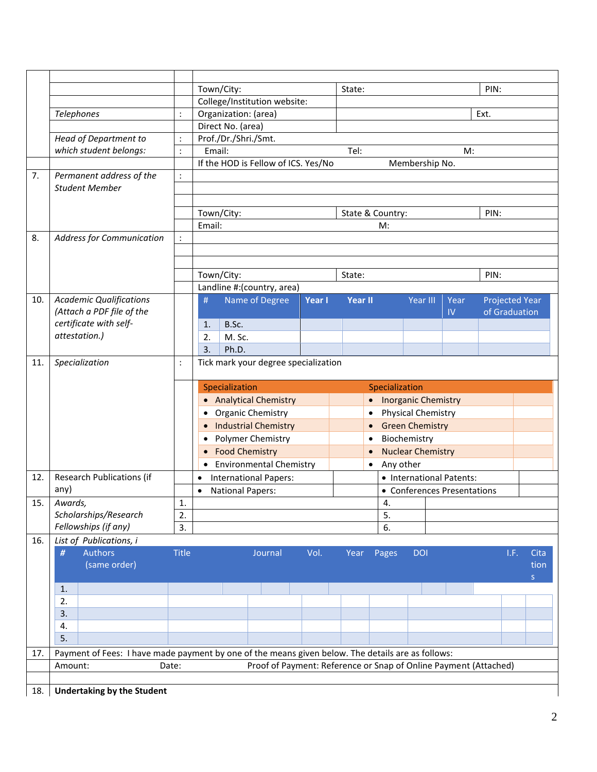|     |                                                                                                   |                                                                           | Town/City:                                                            |        | State:         |                          |                             |      | PIN:                  |              |      |
|-----|---------------------------------------------------------------------------------------------------|---------------------------------------------------------------------------|-----------------------------------------------------------------------|--------|----------------|--------------------------|-----------------------------|------|-----------------------|--------------|------|
|     |                                                                                                   |                                                                           | College/Institution website:                                          |        |                |                          |                             |      |                       |              |      |
|     | Telephones                                                                                        | $\ddot{\cdot}$                                                            | Organization: (area)                                                  |        |                |                          |                             |      | Ext.                  |              |      |
|     |                                                                                                   |                                                                           | Direct No. (area)                                                     |        |                |                          |                             |      |                       |              |      |
|     | Head of Department to                                                                             | $\ddot{\cdot}$                                                            | Prof./Dr./Shri./Smt.                                                  |        |                |                          |                             |      |                       |              |      |
|     | which student belongs:                                                                            | $\ddot{\cdot}$                                                            | Email:                                                                |        | Tel:           |                          |                             | M:   |                       |              |      |
|     |                                                                                                   |                                                                           | If the HOD is Fellow of ICS. Yes/No                                   |        |                |                          | Membership No.              |      |                       |              |      |
| 7.  | Permanent address of the                                                                          | $\ddot{\cdot}$                                                            |                                                                       |        |                |                          |                             |      |                       |              |      |
|     | <b>Student Member</b>                                                                             |                                                                           |                                                                       |        |                |                          |                             |      |                       |              |      |
|     |                                                                                                   |                                                                           |                                                                       |        |                |                          |                             |      |                       |              |      |
|     |                                                                                                   |                                                                           | Town/City:                                                            |        |                | State & Country:         |                             |      | PIN:                  |              |      |
|     |                                                                                                   |                                                                           | Email:                                                                |        |                | M:                       |                             |      |                       |              |      |
| 8.  | <b>Address for Communication</b>                                                                  | $\ddot{\cdot}$                                                            |                                                                       |        |                |                          |                             |      |                       |              |      |
|     |                                                                                                   |                                                                           |                                                                       |        |                |                          |                             |      |                       |              |      |
|     |                                                                                                   |                                                                           |                                                                       |        |                |                          |                             |      |                       |              |      |
|     |                                                                                                   |                                                                           | Town/City:                                                            |        | State:         |                          |                             |      | PIN:                  |              |      |
|     |                                                                                                   |                                                                           | Landline #: (country, area)                                           |        |                |                          |                             |      |                       |              |      |
| 10. | <b>Academic Qualifications</b>                                                                    |                                                                           | Name of Degree<br>#                                                   | Year I | <b>Year II</b> |                          | Year III                    | Year | <b>Projected Year</b> |              |      |
|     | (Attach a PDF file of the                                                                         |                                                                           |                                                                       |        |                |                          |                             | IV   | of Graduation         |              |      |
|     | certificate with self-                                                                            |                                                                           | B.Sc.<br>1.                                                           |        |                |                          |                             |      |                       |              |      |
|     | attestation.)                                                                                     |                                                                           | 2.<br>M. Sc.                                                          |        |                |                          |                             |      |                       |              |      |
|     |                                                                                                   |                                                                           | 3.<br>Ph.D.                                                           |        |                |                          |                             |      |                       |              |      |
| 11. | Specialization                                                                                    | $\ddot{\cdot}$                                                            | Tick mark your degree specialization                                  |        |                |                          |                             |      |                       |              |      |
|     |                                                                                                   |                                                                           |                                                                       |        |                |                          |                             |      |                       |              |      |
|     |                                                                                                   |                                                                           | Specialization<br>Specialization                                      |        |                |                          |                             |      |                       |              |      |
|     |                                                                                                   |                                                                           | <b>Analytical Chemistry</b>                                           |        |                | $\bullet$                | <b>Inorganic Chemistry</b>  |      |                       |              |      |
|     |                                                                                                   | Organic Chemistry<br><b>Physical Chemistry</b><br>$\bullet$               |                                                                       |        |                |                          |                             |      |                       |              |      |
|     |                                                                                                   |                                                                           | <b>Industrial Chemistry</b>                                           |        |                | $\bullet$                | <b>Green Chemistry</b>      |      |                       |              |      |
|     |                                                                                                   | Polymer Chemistry<br>$\bullet$<br><b>Food Chemistry</b><br>$\bullet$      |                                                                       |        |                |                          | Biochemistry                |      |                       |              |      |
|     |                                                                                                   |                                                                           |                                                                       |        |                | <b>Nuclear Chemistry</b> |                             |      |                       |              |      |
|     | <b>Environmental Chemistry</b><br>Any other<br>$\bullet$<br>$\bullet$                             |                                                                           |                                                                       |        |                |                          |                             |      |                       |              |      |
| 12. | <b>Research Publications (if</b>                                                                  |                                                                           | • International Patents:<br><b>International Papers:</b><br>$\bullet$ |        |                |                          |                             |      |                       |              |      |
|     | any)                                                                                              |                                                                           | <b>National Papers:</b><br>$\bullet$                                  |        |                |                          | • Conferences Presentations |      |                       |              |      |
| 15. | Awards,                                                                                           | $\mathbf{1}$ .                                                            |                                                                       |        |                | 4.                       |                             |      |                       |              |      |
|     | Scholarships/Research                                                                             | 2.                                                                        |                                                                       |        |                | 5.                       |                             |      |                       |              |      |
|     | Fellowships (if any)                                                                              | 3.                                                                        |                                                                       |        |                | 6.                       |                             |      |                       |              |      |
| 16. | List of Publications, i                                                                           |                                                                           |                                                                       |        |                |                          |                             |      |                       |              |      |
|     | <b>Authors</b><br>#                                                                               | <b>Title</b>                                                              | Journal                                                               | Vol.   | Year           | Pages                    | <b>DOI</b>                  |      | I.F.                  | Cita         |      |
|     | (same order)                                                                                      |                                                                           |                                                                       |        |                |                          |                             |      |                       |              | tion |
|     |                                                                                                   |                                                                           |                                                                       |        |                |                          |                             |      |                       | $\mathsf{S}$ |      |
|     | 1.                                                                                                |                                                                           |                                                                       |        |                |                          |                             |      |                       |              |      |
|     | 2.                                                                                                |                                                                           |                                                                       |        |                |                          |                             |      |                       |              |      |
|     | 3.                                                                                                |                                                                           |                                                                       |        |                |                          |                             |      |                       |              |      |
|     | 4.                                                                                                |                                                                           |                                                                       |        |                |                          |                             |      |                       |              |      |
|     | 5.                                                                                                |                                                                           |                                                                       |        |                |                          |                             |      |                       |              |      |
| 17. | Payment of Fees: I have made payment by one of the means given below. The details are as follows: |                                                                           |                                                                       |        |                |                          |                             |      |                       |              |      |
|     | Amount:                                                                                           | Proof of Payment: Reference or Snap of Online Payment (Attached)<br>Date: |                                                                       |        |                |                          |                             |      |                       |              |      |
|     |                                                                                                   |                                                                           |                                                                       |        |                |                          |                             |      |                       |              |      |
| 18. | <b>Undertaking by the Student</b>                                                                 |                                                                           |                                                                       |        |                |                          |                             |      |                       |              |      |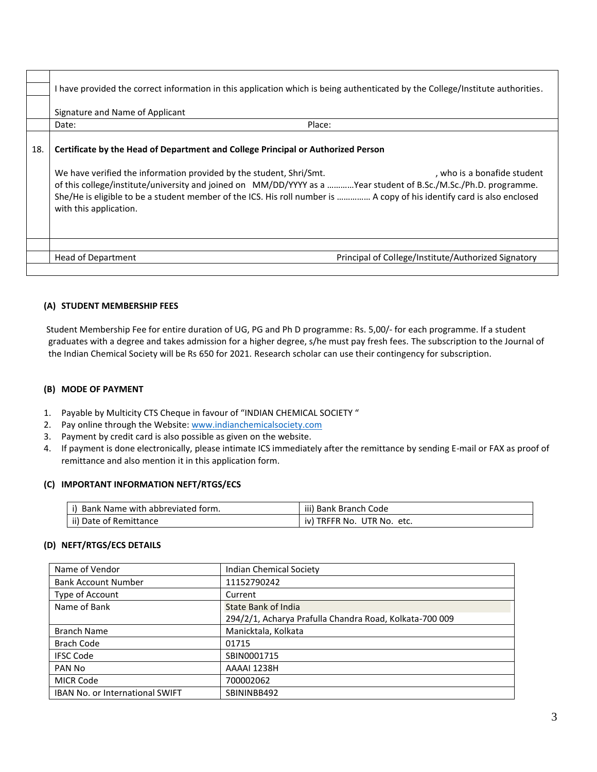|     | have provided the correct information in this application which is being authenticated by the College/Institute authorities.                                                                                                                                                                                                                                              |
|-----|---------------------------------------------------------------------------------------------------------------------------------------------------------------------------------------------------------------------------------------------------------------------------------------------------------------------------------------------------------------------------|
|     | Signature and Name of Applicant                                                                                                                                                                                                                                                                                                                                           |
|     | Place:<br>Date:                                                                                                                                                                                                                                                                                                                                                           |
| 18. | Certificate by the Head of Department and College Principal or Authorized Person                                                                                                                                                                                                                                                                                          |
|     | We have verified the information provided by the student, Shri/Smt.<br>. who is a bonafide student<br>of this college/institute/university and joined on MM/DD/YYYY as a Year student of B.Sc./M.Sc./Ph.D. programme.<br>She/He is eligible to be a student member of the ICS. His roll number is  A copy of his identify card is also enclosed<br>with this application. |
|     | Principal of College/Institute/Authorized Signatory<br>Head of Department                                                                                                                                                                                                                                                                                                 |

#### **(A) STUDENT MEMBERSHIP FEES**

 Student Membership Fee for entire duration of UG, PG and Ph D programme: Rs. 5,00/- for each programme. If a student graduates with a degree and takes admission for a higher degree, s/he must pay fresh fees. The subscription to the Journal of the Indian Chemical Society will be Rs 650 for 2021. Research scholar can use their contingency for subscription.

#### **(B) MODE OF PAYMENT**

- 1. Payable by Multicity CTS Cheque in favour of "INDIAN CHEMICAL SOCIETY "
- 2. Pay online through the Website[: www.indianchemicalsociety.com](http://www.indianchemicalsociety.com/)
- 3. Payment by credit card is also possible as given on the website.
- 4. If payment is done electronically, please intimate ICS immediately after the remittance by sending E-mail or FAX as proof of remittance and also mention it in this application form.

#### **(C) IMPORTANT INFORMATION NEFT/RTGS/ECS**

| . Name with abbreviated form. | iii)                               |
|-------------------------------|------------------------------------|
| Bank                          | <b>Bank Branch Code</b>            |
| ii) Date of Remittance        | UTR No. etc.<br>' TRFFR No.<br>IV. |

#### **(D) NEFT/RTGS/ECS DETAILS**

| Name of Vendor                  | <b>Indian Chemical Society</b>                          |
|---------------------------------|---------------------------------------------------------|
| <b>Bank Account Number</b>      | 11152790242                                             |
| Type of Account                 | Current                                                 |
| Name of Bank                    | <b>State Bank of India</b>                              |
|                                 | 294/2/1, Acharya Prafulla Chandra Road, Kolkata-700 009 |
| <b>Branch Name</b>              | Manicktala, Kolkata                                     |
| <b>Brach Code</b>               | 01715                                                   |
| <b>IFSC Code</b>                | SBIN0001715                                             |
| PAN No                          | AAAAI 1238H                                             |
| <b>MICR Code</b>                | 700002062                                               |
| IBAN No. or International SWIFT | SBININBB492                                             |